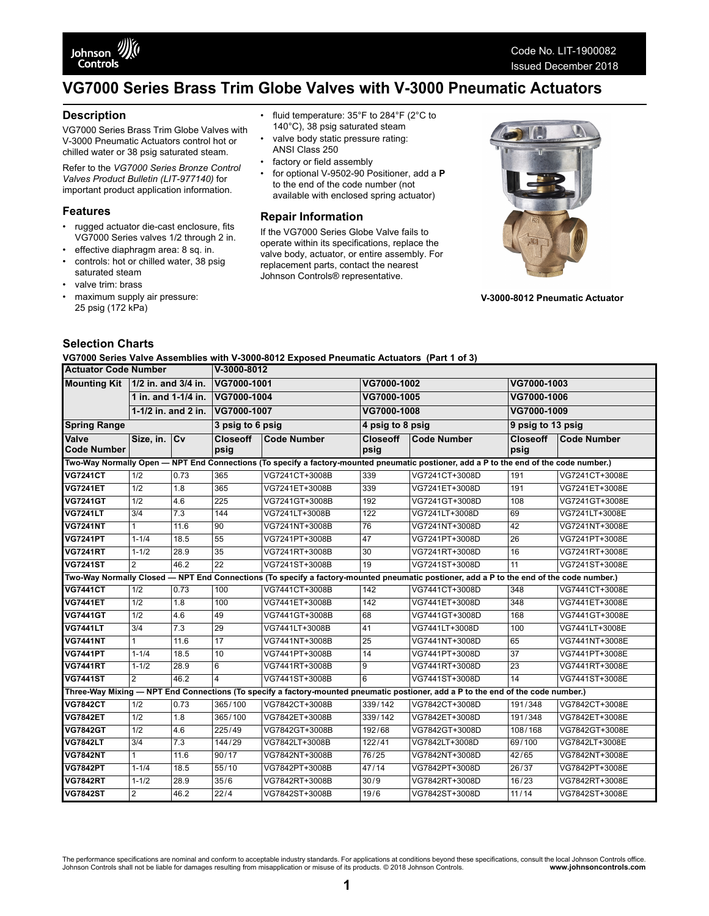

### **Description**

VG7000 Series Brass Trim Globe Valves with V-3000 Pneumatic Actuators control hot or chilled water or 38 psig saturated steam.

Refer to the *VG7000 Series Bronze Control Valves Product Bulletin (LIT-977140)* for important product application information.

#### **Features**

- rugged actuator die-cast enclosure, fits VG7000 Series valves 1/2 through 2 in.
- effective diaphragm area: 8 sq. in.
- controls: hot or chilled water, 38 psig saturated steam
- valve trim: brass
- maximum supply air pressure: 25 psig (172 kPa)
- fluid temperature: 35°F to 284°F (2°C to 140°C), 38 psig saturated steam
- valve body static pressure rating: ANSI Class 250
- factory or field assembly
- for optional V-9502-90 Positioner, add a **P** to the end of the code number (not available with enclosed spring actuator)

### **Repair Information**

If the VG7000 Series Globe Valve fails to operate within its specifications, replace the valve body, actuator, or entire assembly. For replacement parts, contact the nearest Johnson Controls® representative.



**V-3000-8012 Pneumatic Actuator**

**Selection Charts**<br>VG7000 Series Valve Assemblies with V-3000-8012 Exposed Pneumatic Actuators (Part 1 of 3)

| <b>Actuator Code Number</b> |                                                                                                                                          |                     | V-3000-8012             |                                                                                                                                        |                         |                                                                                                                                   |                         |                    |  |  |  |
|-----------------------------|------------------------------------------------------------------------------------------------------------------------------------------|---------------------|-------------------------|----------------------------------------------------------------------------------------------------------------------------------------|-------------------------|-----------------------------------------------------------------------------------------------------------------------------------|-------------------------|--------------------|--|--|--|
| <b>Mounting Kit</b>         | 1/2 in. and 3/4 in.                                                                                                                      |                     | VG7000-1001             |                                                                                                                                        | VG7000-1002             |                                                                                                                                   | VG7000-1003             |                    |  |  |  |
|                             | 1 in. and 1-1/4 in.                                                                                                                      |                     | VG7000-1004             |                                                                                                                                        | VG7000-1005             |                                                                                                                                   | VG7000-1006             |                    |  |  |  |
|                             |                                                                                                                                          | 1-1/2 in. and 2 in. |                         | VG7000-1007                                                                                                                            |                         | VG7000-1008                                                                                                                       |                         | VG7000-1009        |  |  |  |
| <b>Spring Range</b>         |                                                                                                                                          |                     | 3 psig to 6 psig        |                                                                                                                                        | 4 psig to 8 psig        |                                                                                                                                   | 9 psig to 13 psig       |                    |  |  |  |
| Valve<br><b>Code Number</b> | Size, in. Cv                                                                                                                             |                     | <b>Closeoff</b><br>psig | <b>Code Number</b>                                                                                                                     | <b>Closeoff</b><br>psig | <b>Code Number</b>                                                                                                                | <b>Closeoff</b><br>psig | <b>Code Number</b> |  |  |  |
|                             |                                                                                                                                          |                     |                         | Two-Way Normally Open - NPT End Connections (To specify a factory-mounted pneumatic postioner, add a P to the end of the code number.) |                         |                                                                                                                                   |                         |                    |  |  |  |
| <b>VG7241CT</b>             | 1/2                                                                                                                                      | 0.73                | 365                     | VG7241CT+3008B                                                                                                                         | 339                     | VG7241CT+3008D                                                                                                                    | 191                     | VG7241CT+3008E     |  |  |  |
| <b>VG7241ET</b>             | 1/2                                                                                                                                      | 1.8                 | 365                     | VG7241ET+3008B                                                                                                                         | 339                     | VG7241ET+3008D                                                                                                                    | 191                     | VG7241ET+3008E     |  |  |  |
| <b>VG7241GT</b>             | 1/2                                                                                                                                      | 4.6                 | $\overline{225}$        | VG7241GT+3008B                                                                                                                         | 192                     | VG7241GT+3008D                                                                                                                    | 108                     | VG7241GT+3008E     |  |  |  |
| <b>VG7241LT</b>             | $\overline{3/4}$                                                                                                                         | $\overline{7.3}$    | 144                     | VG7241LT+3008B                                                                                                                         | 122                     | VG7241LT+3008D                                                                                                                    | 69                      | VG7241LT+3008E     |  |  |  |
| <b>VG7241NT</b>             | $\mathbf{1}$                                                                                                                             | 11.6                | 90                      | VG7241NT+3008B                                                                                                                         | 76                      | VG7241NT+3008D                                                                                                                    | 42                      | VG7241NT+3008E     |  |  |  |
| <b>VG7241PT</b>             | $1 - 1/4$                                                                                                                                | 18.5                | 55                      | VG7241PT+3008B                                                                                                                         | 47                      | VG7241PT+3008D                                                                                                                    | $\overline{26}$         | VG7241PT+3008E     |  |  |  |
| <b>VG7241RT</b>             | $1 - 1/2$                                                                                                                                | 28.9                | 35                      | VG7241RT+3008B                                                                                                                         | 30                      | VG7241RT+3008D                                                                                                                    | 16                      | VG7241RT+3008E     |  |  |  |
| <b>VG7241ST</b>             | 2                                                                                                                                        | 46.2                | 22                      | VG7241ST+3008B                                                                                                                         | 19                      | VG7241ST+3008D                                                                                                                    | 11                      | VG7241ST+3008E     |  |  |  |
|                             | Two-Way Normally Closed — NPT End Connections (To specify a factory-mounted pneumatic postioner, add a P to the end of the code number.) |                     |                         |                                                                                                                                        |                         |                                                                                                                                   |                         |                    |  |  |  |
| <b>VG7441CT</b>             | 1/2                                                                                                                                      | 0.73                | 100                     | VG7441CT+3008B                                                                                                                         | 142                     | VG7441CT+3008D                                                                                                                    | 348                     | VG7441CT+3008E     |  |  |  |
| <b>VG7441ET</b>             | 1/2                                                                                                                                      | 1.8                 | 100                     | VG7441ET+3008B                                                                                                                         | 142                     | VG7441ET+3008D                                                                                                                    | 348                     | VG7441ET+3008E     |  |  |  |
| <b>VG7441GT</b>             | 1/2                                                                                                                                      | 4.6                 | 49                      | VG7441GT+3008B                                                                                                                         | 68                      | VG7441GT+3008D                                                                                                                    | 168                     | VG7441GT+3008E     |  |  |  |
| <b>VG7441LT</b>             | $\overline{3/4}$                                                                                                                         | $\overline{7.3}$    | 29                      | VG7441LT+3008B                                                                                                                         | 41                      | VG7441LT+3008D                                                                                                                    | 100                     | VG7441LT+3008E     |  |  |  |
| <b>VG7441NT</b>             | $\mathbf{1}$                                                                                                                             | 11.6                | 17                      | VG7441NT+3008B                                                                                                                         | 25                      | VG7441NT+3008D                                                                                                                    | 65                      | VG7441NT+3008E     |  |  |  |
| <b>VG7441PT</b>             | $1 - 1/4$                                                                                                                                | 18.5                | 10                      | VG7441PT+3008B                                                                                                                         | 14                      | VG7441PT+3008D                                                                                                                    | $\overline{37}$         | VG7441PT+3008E     |  |  |  |
| <b>VG7441RT</b>             | $1 - 1/2$                                                                                                                                | 28.9                | 6                       | VG7441RT+3008B                                                                                                                         | 9                       | VG7441RT+3008D                                                                                                                    | $\overline{23}$         | VG7441RT+3008E     |  |  |  |
| <b>VG7441ST</b>             | $\overline{2}$                                                                                                                           | 46.2                | $\overline{\mathbf{A}}$ | VG7441ST+3008B                                                                                                                         | $\overline{6}$          | VG7441ST+3008D                                                                                                                    | 14                      | VG7441ST+3008E     |  |  |  |
|                             |                                                                                                                                          |                     |                         |                                                                                                                                        |                         | Three-Way Mixing — NPT End Connections (To specify a factory-mounted pneumatic postioner, add a P to the end of the code number.) |                         |                    |  |  |  |
| <b>VG7842CT</b>             | 1/2                                                                                                                                      | 0.73                | 365/100                 | VG7842CT+3008B                                                                                                                         | 339/142                 | VG7842CT+3008D                                                                                                                    | 191/348                 | VG7842CT+3008E     |  |  |  |
| <b>VG7842ET</b>             | 1/2                                                                                                                                      | 1.8                 | 365/100                 | VG7842ET+3008B                                                                                                                         | 339/142                 | VG7842ET+3008D                                                                                                                    | 191/348                 | VG7842ET+3008E     |  |  |  |
| <b>VG7842GT</b>             | 1/2                                                                                                                                      | 4.6                 | 225/49                  | VG7842GT+3008B                                                                                                                         | 192/68                  | VG7842GT+3008D                                                                                                                    | 108/168                 | VG7842GT+3008E     |  |  |  |
| <b>VG7842LT</b>             | 3/4                                                                                                                                      | 7.3                 | 144/29                  | VG7842LT+3008B                                                                                                                         | 122/41                  | VG7842LT+3008D                                                                                                                    | 69/100                  | VG7842LT+3008E     |  |  |  |
| <b>VG7842NT</b>             | $\mathbf{1}$                                                                                                                             | 11.6                | 90/17                   | VG7842NT+3008B                                                                                                                         | 76/25                   | VG7842NT+3008D                                                                                                                    | 42/65                   | VG7842NT+3008E     |  |  |  |
| <b>VG7842PT</b>             | $1 - 1/4$                                                                                                                                | 18.5                | 55/10                   | VG7842PT+3008B                                                                                                                         | 47/14                   | VG7842PT+3008D                                                                                                                    | 26/37                   | VG7842PT+3008E     |  |  |  |
| <b>VG7842RT</b>             | $1 - 1/2$                                                                                                                                | 28.9                | 35/6                    | VG7842RT+3008B                                                                                                                         | 30/9                    | VG7842RT+3008D                                                                                                                    | 16/23                   | VG7842RT+3008E     |  |  |  |
| <b>VG7842ST</b>             | 2                                                                                                                                        | 46.2                | 22/4                    | VG7842ST+3008B                                                                                                                         | 19/6                    | VG7842ST+3008D                                                                                                                    | 11/14                   | VG7842ST+3008E     |  |  |  |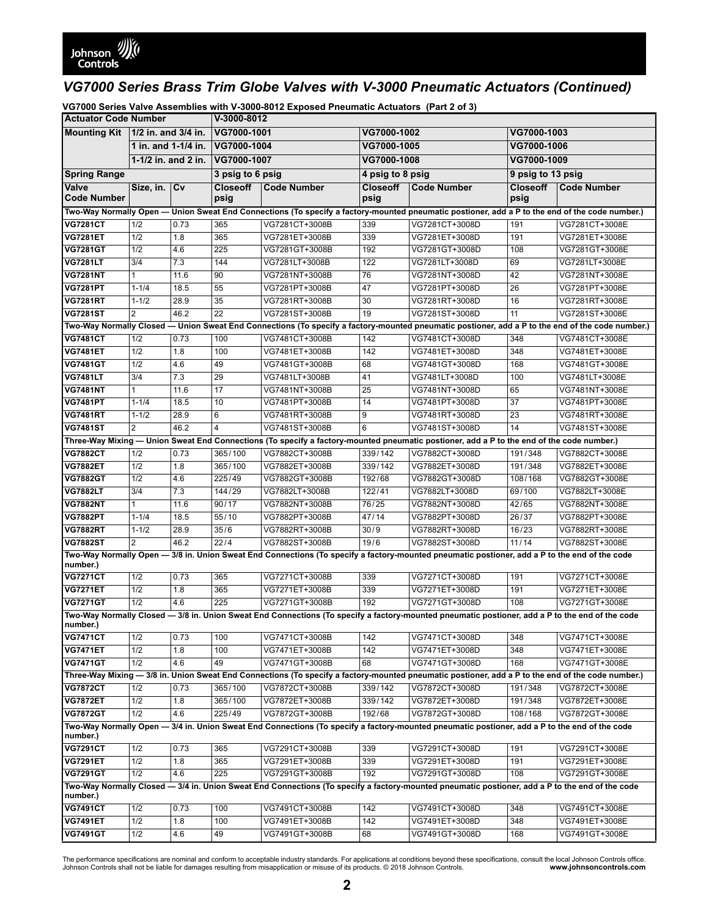**VG7000 Series Valve Assemblies with V-3000-8012 Exposed Pneumatic Actuators (Part 2 of 3)**

| <b>Actuator Code Number</b>                |                        |              | V-3000-8012      |                                  |                  |                                                                                                                                                   |                   |                                  |  |
|--------------------------------------------|------------------------|--------------|------------------|----------------------------------|------------------|---------------------------------------------------------------------------------------------------------------------------------------------------|-------------------|----------------------------------|--|
| <b>Mounting Kit</b><br>1/2 in. and 3/4 in. |                        | VG7000-1001  |                  | VG7000-1002                      |                  | VG7000-1003                                                                                                                                       |                   |                                  |  |
|                                            | 1 in. and 1-1/4 in.    |              | VG7000-1004      |                                  | VG7000-1005      |                                                                                                                                                   | VG7000-1006       |                                  |  |
| 1-1/2 in. and 2 in.                        |                        | VG7000-1007  |                  | VG7000-1008                      |                  | VG7000-1009                                                                                                                                       |                   |                                  |  |
| <b>Spring Range</b>                        |                        |              | 3 psig to 6 psig |                                  | 4 psig to 8 psig |                                                                                                                                                   | 9 psig to 13 psig |                                  |  |
| Valve                                      | Size, in.              | <b>Cv</b>    | <b>Closeoff</b>  | <b>Code Number</b>               | <b>Closeoff</b>  | <b>Code Number</b>                                                                                                                                | <b>Closeoff</b>   | <b>Code Number</b>               |  |
| <b>Code Number</b>                         |                        |              | psig             |                                  | psig             |                                                                                                                                                   | psig              |                                  |  |
|                                            |                        |              |                  |                                  |                  | Two-Way Normally Open - Union Sweat End Connections (To specify a factory-mounted pneumatic postioner, add a P to the end of the code number.)    |                   |                                  |  |
| <b>VG7281CT</b>                            | 1/2                    | 0.73         | 365              | VG7281CT+3008B                   | 339              | VG7281CT+3008D                                                                                                                                    | 191               | VG7281CT+3008E                   |  |
| <b>VG7281ET</b>                            | 1/2                    | 1.8          | 365              | VG7281ET+3008B                   | 339              | VG7281ET+3008D                                                                                                                                    | 191               | VG7281ET+3008E                   |  |
| <b>VG7281GT</b>                            | 1/2                    | 4.6          | 225              | VG7281GT+3008B                   | 192              | VG7281GT+3008D                                                                                                                                    | 108               | VG7281GT+3008E                   |  |
| <b>VG7281LT</b>                            | 3/4                    | 7.3          | 144              | VG7281LT+3008B                   | 122              | VG7281LT+3008D                                                                                                                                    | 69                | VG7281LT+3008E                   |  |
| <b>VG7281NT</b>                            | 1                      | 11.6         | 90               | VG7281NT+3008B                   | 76               | VG7281NT+3008D                                                                                                                                    | 42                | VG7281NT+3008E                   |  |
| <b>VG7281PT</b>                            | $1 - 1/4$              | 18.5         | 55               | VG7281PT+3008B                   | 47               | VG7281PT+3008D                                                                                                                                    | 26                | VG7281PT+3008E                   |  |
| <b>VG7281RT</b>                            | $1 - 1/2$              | 28.9         | 35               | VG7281RT+3008B                   | 30               | VG7281RT+3008D                                                                                                                                    | 16                | VG7281RT+3008E                   |  |
| <b>VG7281ST</b>                            | $\overline{2}$         | 46.2         | $\overline{22}$  | VG7281ST+3008B                   | 19               | VG7281ST+3008D                                                                                                                                    | 11                | VG7281ST+3008E                   |  |
|                                            |                        |              |                  |                                  |                  | Two-Way Normally Closed - Union Sweat End Connections (To specify a factory-mounted pneumatic postioner, add a P to the end of the code number.)  |                   |                                  |  |
| <b>VG7481CT</b>                            | 1/2                    | 0.73         | 100              | VG7481CT+3008B                   | 142              | VG7481CT+3008D                                                                                                                                    | 348               | VG7481CT+3008E                   |  |
| <b>VG7481ET</b>                            | 1/2                    | 1.8          | 100              | VG7481ET+3008B                   | 142              | VG7481ET+3008D                                                                                                                                    | 348               | VG7481ET+3008E                   |  |
| <b>VG7481GT</b>                            | 1/2                    | 4.6          | 49               | VG7481GT+3008B                   | 68               | VG7481GT+3008D                                                                                                                                    | 168               | VG7481GT+3008E                   |  |
| <b>VG7481LT</b>                            | 3/4                    | 7.3          | 29               | VG7481LT+3008B                   | 41               | VG7481LT+3008D                                                                                                                                    | 100               | VG7481LT+3008E                   |  |
| <b>VG7481NT</b>                            | 1                      | 11.6         | 17               | VG7481NT+3008B                   | 25               | VG7481NT+3008D                                                                                                                                    | 65                | VG7481NT+3008E                   |  |
| <b>VG7481PT</b>                            | $1 - 1/4$              | 18.5         | 10               | VG7481PT+3008B                   | 14               | VG7481PT+3008D                                                                                                                                    | 37                | VG7481PT+3008E                   |  |
| <b>VG7481RT</b>                            | $1 - 1/2$              | 28.9         | 6                | VG7481RT+3008B                   | 9                | VG7481RT+3008D                                                                                                                                    | 23                | VG7481RT+3008E                   |  |
| <b>VG7481ST</b>                            | $\overline{2}$         | 46.2         | $\overline{4}$   | VG7481ST+3008B                   | 6                | VG7481ST+3008D                                                                                                                                    | 14                | VG7481ST+3008E                   |  |
|                                            |                        |              |                  |                                  |                  | Three-Way Mixing — Union Sweat End Connections (To specify a factory-mounted pneumatic postioner, add a P to the end of the code number.)         |                   |                                  |  |
| <b>VG7882CT</b>                            | 1/2                    | 0.73         | 365/100          | VG7882CT+3008B                   | 339/142          | VG7882CT+3008D                                                                                                                                    | 191/348           | VG7882CT+3008E                   |  |
| <b>VG7882ET</b>                            | 1/2                    | 1.8          | 365/100          | VG7882ET+3008B                   | 339/142          | VG7882ET+3008D                                                                                                                                    | 191/348           | VG7882ET+3008E                   |  |
| <b>VG7882GT</b>                            | 1/2                    | 4.6          | 225/49           | VG7882GT+3008B                   | 192/68           | VG7882GT+3008D                                                                                                                                    | 108/168           | VG7882GT+3008E                   |  |
| <b>VG7882LT</b><br><b>VG7882NT</b>         | 3/4                    | 7.3          | 144/29<br>90/17  | VG7882LT+3008B                   | 122/41           | VG7882LT+3008D                                                                                                                                    | 69/100            | VG7882LT+3008E                   |  |
|                                            | 1                      | 11.6         |                  | VG7882NT+3008B                   | 76/25            | VG7882NT+3008D                                                                                                                                    | 42/65             | VG7882NT+3008E                   |  |
| <b>VG7882PT</b><br><b>VG7882RT</b>         | $1 - 1/4$<br>$1 - 1/2$ | 18.5<br>28.9 | 55/10<br>35/6    | VG7882PT+3008B<br>VG7882RT+3008B | 47/14<br>30/9    | VG7882PT+3008D<br>VG7882RT+3008D                                                                                                                  | 26/37<br>16/23    | VG7882PT+3008E<br>VG7882RT+3008E |  |
| <b>VG7882ST</b>                            | $\overline{2}$         | 46.2         | 22/4             | VG7882ST+3008B                   | 19/6             | VG7882ST+3008D                                                                                                                                    | 11/14             | VG7882ST+3008E                   |  |
|                                            |                        |              |                  |                                  |                  | Two-Way Normally Open - 3/8 in. Union Sweat End Connections (To specify a factory-mounted pneumatic postioner, add a P to the end of the code     |                   |                                  |  |
| number.)                                   |                        |              |                  |                                  |                  |                                                                                                                                                   |                   |                                  |  |
| <b>VG7271CT</b>                            | 1/2                    | 0.73         | 365              | VG7271CT+3008B                   | 339              | VG7271CT+3008D                                                                                                                                    | 191               | VG7271CT+3008E                   |  |
| <b>VG7271ET</b>                            | 1/2                    | 1.8          | 365              | VG7271ET+3008B                   | 339              | VG7271ET+3008D                                                                                                                                    | 191               | VG7271ET+3008E                   |  |
| <b>VG7271GT</b>                            | 1/2                    | 4.6          | 225              | VG7271GT+3008B                   | 192              | VG7271GT+3008D                                                                                                                                    | 108               | VG7271GT+3008E                   |  |
| number.)                                   |                        |              |                  |                                  |                  | Two-Way Normally Closed - 3/8 in. Union Sweat End Connections (To specify a factory-mounted pneumatic postioner, add a P to the end of the code   |                   |                                  |  |
| <b>VG7471CT</b>                            | 1/2                    | 0.73         | 100              | VG7471CT+3008B                   | 142              | VG7471CT+3008D                                                                                                                                    | 348               | VG7471CT+3008E                   |  |
| <b>VG7471ET</b>                            | 1/2                    | 1.8          | 100              | VG7471ET+3008B                   | 142              | VG7471ET+3008D                                                                                                                                    | 348               | VG7471ET+3008E                   |  |
| <b>VG7471GT</b>                            | 1/2                    | 4.6          | 49               | VG7471GT+3008B                   | 68               | VG7471GT+3008D                                                                                                                                    | 168               | VG7471GT+3008E                   |  |
|                                            |                        |              |                  |                                  |                  | Three-Way Mixing - 3/8 in. Union Sweat End Connections (To specify a factory-mounted pneumatic postioner, add a P to the end of the code number.) |                   |                                  |  |
| <b>VG7872CT</b>                            | 1/2                    | 0.73         | 365/100          | VG7872CT+3008B                   | 339/142          | VG7872CT+3008D                                                                                                                                    | 191/348           | VG7872CT+3008E                   |  |
| <b>VG7872ET</b>                            | 1/2                    | 1.8          | 365/100          | VG7872ET+3008B                   | 339/142          | VG7872ET+3008D                                                                                                                                    | 191/348           | VG7872ET+3008E                   |  |
| <b>VG7872GT</b>                            | 1/2                    | 4.6          | 225/49           | VG7872GT+3008B                   | 192/68           | VG7872GT+3008D                                                                                                                                    | 108/168           | VG7872GT+3008E                   |  |
| number.)                                   |                        |              |                  |                                  |                  | Two-Way Normally Open - 3/4 in. Union Sweat End Connections (To specify a factory-mounted pneumatic postioner, add a P to the end of the code     |                   |                                  |  |
| <b>VG7291CT</b>                            | 1/2                    | 0.73         | 365              | VG7291CT+3008B                   | 339              | VG7291CT+3008D                                                                                                                                    | 191               | VG7291CT+3008E                   |  |
| <b>VG7291ET</b>                            | 1/2                    | 1.8          | 365              | VG7291ET+3008B                   | 339              | VG7291ET+3008D                                                                                                                                    | 191               | VG7291ET+3008E                   |  |
| <b>VG7291GT</b>                            | 1/2                    | 4.6          | 225              | VG7291GT+3008B                   | 192              | VG7291GT+3008D                                                                                                                                    | 108               | VG7291GT+3008E                   |  |
| number.)                                   |                        |              |                  |                                  |                  | Two-Way Normally Closed - 3/4 in. Union Sweat End Connections (To specify a factory-mounted pneumatic postioner, add a P to the end of the code   |                   |                                  |  |
| <b>VG7491CT</b>                            | 1/2                    | 0.73         | 100              | VG7491CT+3008B                   | 142              | VG7491CT+3008D                                                                                                                                    | 348               | VG7491CT+3008E                   |  |
| <b>VG7491ET</b>                            | 1/2                    | 1.8          | 100              | VG7491ET+3008B                   | 142              | VG7491ET+3008D                                                                                                                                    | 348               | VG7491ET+3008E                   |  |
| <b>VG7491GT</b>                            | 1/2                    | 4.6          | 49               | VG7491GT+3008B                   | 68               | VG7491GT+3008D                                                                                                                                    | 168               | VG7491GT+3008E                   |  |

The performance specifications are nominal and conform to acceptable industry standards. For applications at conditions beyond these specifications, consult the local Johnson Controls office.<br>Johnson Controls . some www.jo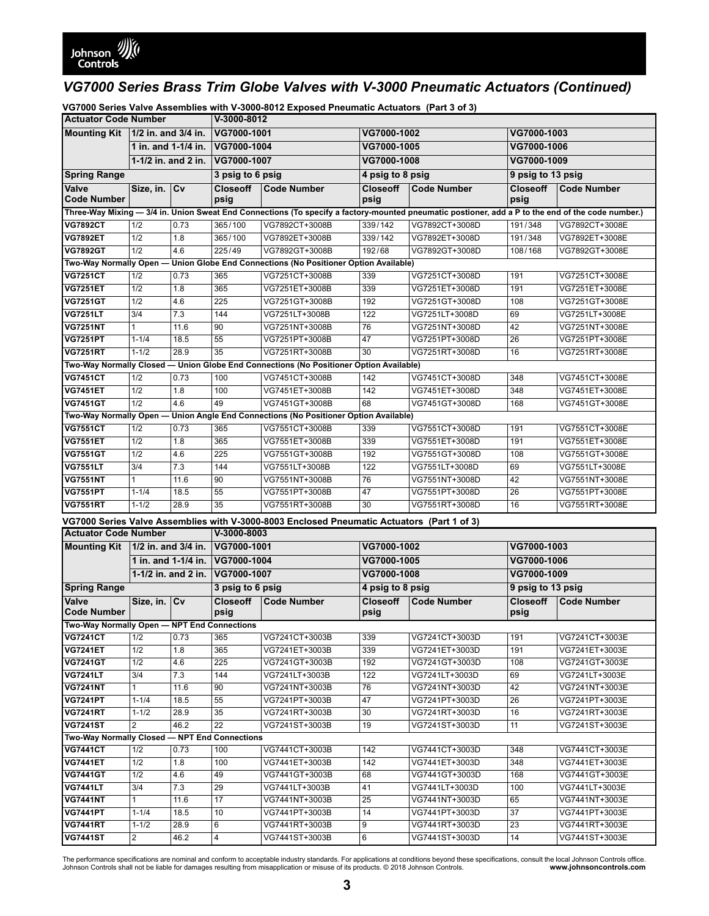**VG7000 Series Valve Assemblies with V-3000-8012 Exposed Pneumatic Actuators (Part 3 of 3)**

| <b>Actuator Code Number</b>                                                                                                                       |                                  | V-3000-8012 |                            |                                                                                            |                         |                                  |                         |                                  |
|---------------------------------------------------------------------------------------------------------------------------------------------------|----------------------------------|-------------|----------------------------|--------------------------------------------------------------------------------------------|-------------------------|----------------------------------|-------------------------|----------------------------------|
|                                                                                                                                                   | Mounting Kit 1/2 in. and 3/4 in. |             | VG7000-1001                |                                                                                            | VG7000-1002             |                                  | VG7000-1003             |                                  |
|                                                                                                                                                   | 1 in. and 1-1/4 in.              |             | VG7000-1004                |                                                                                            | VG7000-1005             |                                  | VG7000-1006             |                                  |
|                                                                                                                                                   | 1-1/2 in. and 2 in.              |             | VG7000-1007                |                                                                                            | VG7000-1008             |                                  | VG7000-1009             |                                  |
| <b>Spring Range</b>                                                                                                                               |                                  |             | 3 psig to 6 psig           |                                                                                            | 4 psig to 8 psig        |                                  | 9 psig to 13 psig       |                                  |
| Valve                                                                                                                                             | Size, in.   Cv                   |             | <b>Closeoff</b>            | <b>Code Number</b>                                                                         | <b>Closeoff</b>         | <b>Code Number</b>               | <b>Closeoff</b>         | <b>Code Number</b>               |
| <b>Code Number</b>                                                                                                                                |                                  |             | psig                       |                                                                                            | psig                    |                                  | psig                    |                                  |
| Three-Way Mixing — 3/4 in. Union Sweat End Connections (To specify a factory-mounted pneumatic postioner, add a P to the end of the code number.) |                                  |             |                            |                                                                                            |                         |                                  |                         |                                  |
| <b>VG7892CT</b>                                                                                                                                   | 1/2                              | 0.73        | 365/100                    | VG7892CT+3008B                                                                             | 339/142                 | VG7892CT+3008D                   | 191/348                 | VG7892CT+3008E                   |
| <b>VG7892ET</b>                                                                                                                                   | 1/2                              | 1.8         | 365/100                    | VG7892ET+3008B                                                                             | 339/142                 | VG7892ET+3008D                   | 191/348                 | VG7892ET+3008E                   |
| <b>VG7892GT</b>                                                                                                                                   | 1/2                              | 4.6         | 225/49                     | VG7892GT+3008B                                                                             | 192/68                  | VG7892GT+3008D                   | 108/168                 | VG7892GT+3008E                   |
|                                                                                                                                                   |                                  |             |                            | Two-Way Normally Open - Union Globe End Connections (No Positioner Option Available)       |                         |                                  |                         |                                  |
| <b>VG7251CT</b>                                                                                                                                   | 1/2                              | 0.73        | 365                        | VG7251CT+3008B                                                                             | 339                     | VG7251CT+3008D                   | 191                     | VG7251CT+3008E                   |
| <b>VG7251ET</b>                                                                                                                                   | 1/2                              | 1.8         | 365                        | VG7251ET+3008B                                                                             | 339                     | VG7251ET+3008D                   | 191                     | VG7251ET+3008E                   |
| <b>VG7251GT</b>                                                                                                                                   | 1/2                              | 4.6         | 225                        | VG7251GT+3008B                                                                             | 192                     | VG7251GT+3008D                   | 108                     | VG7251GT+3008E                   |
| <b>VG7251LT</b>                                                                                                                                   | 3/4                              | 7.3         | 144                        | VG7251LT+3008B                                                                             | 122                     | VG7251LT+3008D                   | 69                      | VG7251LT+3008E                   |
| <b>VG7251NT</b>                                                                                                                                   | $\mathbf{1}$                     | 11.6        | 90                         | VG7251NT+3008B                                                                             | 76                      | VG7251NT+3008D                   | 42                      | VG7251NT+3008E                   |
| <b>VG7251PT</b>                                                                                                                                   | $1 - 1/4$                        | 18.5        | 55                         | VG7251PT+3008B                                                                             | 47                      | VG7251PT+3008D                   | 26                      | VG7251PT+3008E                   |
| <b>VG7251RT</b>                                                                                                                                   | $1 - 1/2$                        | 28.9        | 35                         | VG7251RT+3008B                                                                             | 30                      | VG7251RT+3008D                   | 16                      | VG7251RT+3008E                   |
|                                                                                                                                                   |                                  |             |                            | Two-Way Normally Closed - Union Globe End Connections (No Positioner Option Available)     |                         |                                  |                         |                                  |
| <b>VG7451CT</b>                                                                                                                                   | 1/2                              | 0.73        | 100                        | VG7451CT+3008B                                                                             | 142                     | VG7451CT+3008D                   | 348                     | VG7451CT+3008E                   |
| <b>VG7451ET</b>                                                                                                                                   | 1/2                              | 1.8         | 100                        | VG7451ET+3008B                                                                             | 142                     | VG7451ET+3008D                   | 348                     | VG7451ET+3008E                   |
| <b>VG7451GT</b>                                                                                                                                   | 1/2                              | 4.6         | 49                         | VG7451GT+3008B                                                                             | 68                      | VG7451GT+3008D                   | 168                     | VG7451GT+3008E                   |
|                                                                                                                                                   |                                  |             |                            | Two-Way Normally Open - Union Angle End Connections (No Positioner Option Available)       |                         |                                  |                         |                                  |
| <b>VG7551CT</b>                                                                                                                                   | 1/2                              | 0.73        | 365                        | VG7551CT+3008B                                                                             | 339                     | VG7551CT+3008D                   | 191                     | VG7551CT+3008E                   |
| <b>VG7551ET</b>                                                                                                                                   | 1/2                              | 1.8         | 365                        | VG7551ET+3008B                                                                             | 339                     | VG7551ET+3008D                   | 191                     | VG7551ET+3008E                   |
| <b>VG7551GT</b>                                                                                                                                   | 1/2                              | 4.6         | 225                        | VG7551GT+3008B                                                                             | 192                     | VG7551GT+3008D                   | 108                     | VG7551GT+3008E                   |
| <b>VG7551LT</b><br><b>VG7551NT</b>                                                                                                                | 3/4<br>$\mathbf{1}$              | 7.3<br>11.6 | 144<br>90                  | VG7551LT+3008B<br>VG7551NT+3008B                                                           | 122<br>76               | VG7551LT+3008D<br>VG7551NT+3008D | 69<br>42                | VG7551LT+3008E<br>VG7551NT+3008E |
| <b>VG7551PT</b>                                                                                                                                   | $1 - 1/4$                        | 18.5        | 55                         | VG7551PT+3008B                                                                             | 47                      | VG7551PT+3008D                   | 26                      | VG7551PT+3008E                   |
| <b>VG7551RT</b>                                                                                                                                   | $1 - 1/2$                        | 28.9        | 35                         | VG7551RT+3008B                                                                             | 30                      | VG7551RT+3008D                   | 16                      | VG7551RT+3008E                   |
|                                                                                                                                                   |                                  |             |                            |                                                                                            |                         |                                  |                         |                                  |
|                                                                                                                                                   |                                  |             |                            | VG7000 Series Valve Assemblies with V-3000-8003 Enclosed Pneumatic Actuators (Part 1 of 3) |                         |                                  |                         |                                  |
| <b>Actuator Code Number</b>                                                                                                                       |                                  |             | V-3000-8003                |                                                                                            |                         |                                  |                         |                                  |
| <b>Mounting Kit</b>                                                                                                                               | 1/2 in. and 3/4 in.              |             | VG7000-1001<br>VG7000-1004 |                                                                                            | VG7000-1002             |                                  | VG7000-1003             |                                  |
|                                                                                                                                                   | 1 in. and 1-1/4 in.              |             |                            |                                                                                            | VG7000-1005             |                                  | VG7000-1006             |                                  |
|                                                                                                                                                   | 1-1/2 in. and 2 in.              |             | VG7000-1007                |                                                                                            | VG7000-1008             |                                  | VG7000-1009             |                                  |
| <b>Spring Range</b>                                                                                                                               |                                  |             | 3 psig to 6 psig           |                                                                                            | 4 psig to 8 psig        |                                  | 9 psig to 13 psig       |                                  |
| Valve<br><b>Code Number</b>                                                                                                                       | Size, in. Cv                     |             | <b>Closeoff</b><br>psig    | <b>Code Number</b>                                                                         | <b>Closeoff</b><br>psig | <b>Code Number</b>               | <b>Closeoff</b><br>psig | <b>Code Number</b>               |
| Two-Way Normally Open - NPT End Connections                                                                                                       |                                  |             |                            |                                                                                            |                         |                                  |                         |                                  |
| <b>VG7241CT</b>                                                                                                                                   | 1/2                              | 0.73        | 365                        | VG7241CT+3003B                                                                             | 339                     | VG7241CT+3003D                   | 191                     | VG7241CT+3003E                   |
| <b>VG7241ET</b>                                                                                                                                   | 1/2                              | 1.8         | 365                        | VG7241ET+3003B                                                                             | 339                     | VG7241ET+3003D                   | 191                     | VG7241ET+3003E                   |
| <b>VG7241GT</b>                                                                                                                                   | 1/2                              | 4.6         | 225                        | VG7241GT+3003B                                                                             | 192                     | VG7241GT+3003D                   | 108                     | VG7241GT+3003E                   |
| <b>VG7241LT</b>                                                                                                                                   | 3/4                              | 7.3         | 144                        | VG7241LT+3003B                                                                             | 122                     | VG7241LT+3003D                   | 69                      | VG7241LT+3003E                   |
| <b>VG7241NT</b>                                                                                                                                   | $\mathbf{1}$                     | 11.6        | 90                         | VG7241NT+3003B                                                                             | 76                      | VG7241NT+3003D                   | 42                      | VG7241NT+3003E                   |
| <b>VG7241PT</b>                                                                                                                                   | $1 - 1/4$                        | 18.5        | 55                         | VG7241PT+3003B                                                                             | 47                      | VG7241PT+3003D                   | 26                      | VG7241PT+3003E                   |
| <b>VG7241RT</b>                                                                                                                                   | $1 - 1/2$                        | 28.9        | 35                         | VG7241RT+3003B                                                                             | 30                      | VG7241RT+3003D                   | 16                      | VG7241RT+3003E                   |
| <b>VG7241ST</b>                                                                                                                                   | 2                                | 46.2        | 22                         | VG7241ST+3003B                                                                             | 19                      | VG7241ST+3003D                   | 11                      | VG7241ST+3003E                   |
| Two-Way Normally Closed - NPT End Connections                                                                                                     |                                  |             |                            |                                                                                            |                         |                                  |                         |                                  |
| <b>VG7441CT</b>                                                                                                                                   | 1/2                              | 0.73        | 100                        | VG7441CT+3003B                                                                             | 142                     | VG7441CT+3003D                   | 348                     | VG7441CT+3003E                   |
| <b>VG7441ET</b>                                                                                                                                   | 1/2                              | 1.8         | 100                        | VG7441ET+3003B                                                                             | 142                     | VG7441ET+3003D                   | 348                     | VG7441ET+3003E                   |
| <b>VG7441GT</b>                                                                                                                                   | 1/2                              | 4.6         | 49                         | VG7441GT+3003B                                                                             | 68                      | VG7441GT+3003D                   | 168                     | VG7441GT+3003E                   |
| <b>VG7441LT</b>                                                                                                                                   | 3/4                              | 7.3         | 29                         | VG7441LT+3003B                                                                             | 41                      | VG7441LT+3003D                   | 100                     | VG7441LT+3003E                   |
| <b>VG7441NT</b>                                                                                                                                   | $\mathbf{1}$                     | 11.6        | 17                         | VG7441NT+3003B                                                                             | 25                      | VG7441NT+3003D                   | 65                      | VG7441NT+3003E                   |
| <b>VG7441PT</b>                                                                                                                                   | $1 - 1/4$                        | 18.5        | 10                         | VG7441PT+3003B                                                                             | 14                      | VG7441PT+3003D                   | 37                      | VG7441PT+3003E                   |
| <b>VG7441RT</b>                                                                                                                                   | $1 - 1/2$                        | 28.9        | 6                          | VG7441RT+3003B                                                                             | 9                       | VG7441RT+3003D                   | 23                      | VG7441RT+3003E                   |
| <b>VG7441ST</b>                                                                                                                                   | $\overline{2}$                   | 46.2        | 4                          | VG7441ST+3003B                                                                             | 6                       | VG7441ST+3003D                   | 14                      | VG7441ST+3003E                   |

The performance specifications are nominal and conform to acceptable industry standards. For applications at conditions beyond these specifications, consult the local Johnson Controls office.<br>Johnson Controls . some www.jo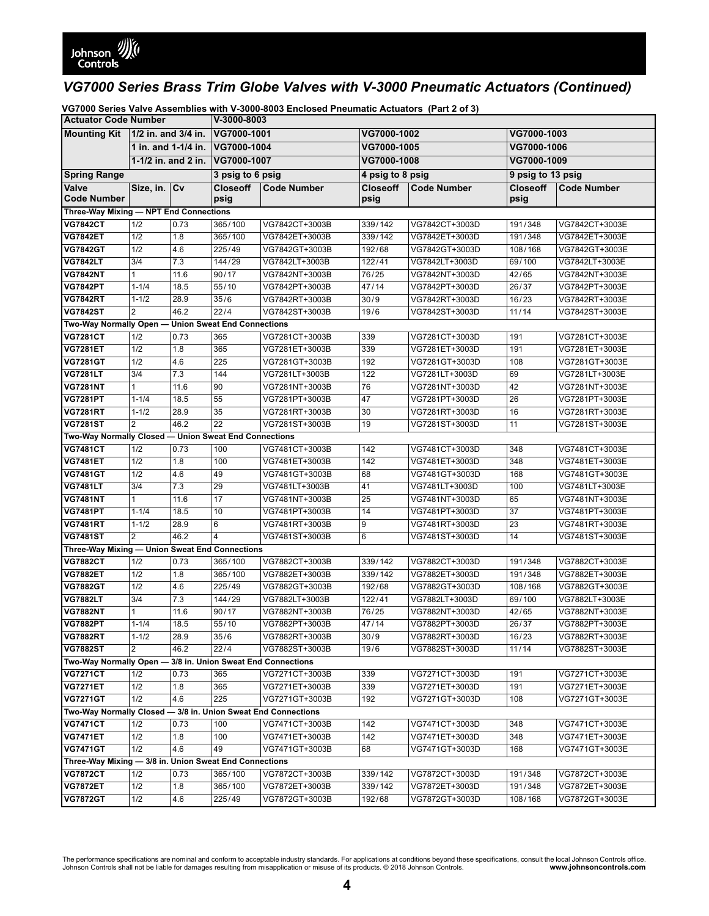## **VG7000 Series Valve Assemblies with V-3000-8003 Enclosed Pneumatic Actuators (Part 2 of 3)**

| <b>Actuator Code Number</b>                                                              |                     |             | V-3000-8003                        |                                      |                    |                                  |                   |                                  |  |
|------------------------------------------------------------------------------------------|---------------------|-------------|------------------------------------|--------------------------------------|--------------------|----------------------------------|-------------------|----------------------------------|--|
| <b>Mounting Kit</b><br>1/2 in. and 3/4 in.<br>1 in. and 1-1/4 in.<br>1-1/2 in. and 2 in. |                     | VG7000-1001 |                                    | VG7000-1002                          |                    | VG7000-1003                      |                   |                                  |  |
|                                                                                          |                     |             | VG7000-1004                        |                                      | VG7000-1005        |                                  | VG7000-1006       |                                  |  |
|                                                                                          |                     | VG7000-1007 |                                    | VG7000-1008                          |                    | VG7000-1009                      |                   |                                  |  |
|                                                                                          | <b>Spring Range</b> |             | 3 psig to 6 psig                   |                                      | 4 psig to 8 psig   |                                  | 9 psig to 13 psig |                                  |  |
| Valve                                                                                    | Size, in. Cv        |             | <b>Closeoff</b>                    | <b>Code Number</b>                   | <b>Closeoff</b>    | <b>Code Number</b>               | <b>Closeoff</b>   | <b>Code Number</b>               |  |
| <b>Code Number</b>                                                                       |                     |             | psig                               |                                      | psig               |                                  | psig              |                                  |  |
| Three-Way Mixing - NPT End Connections                                                   |                     |             |                                    |                                      |                    |                                  |                   |                                  |  |
| <b>VG7842CT</b>                                                                          | 1/2                 | 0.73        | 365/100                            | VG7842CT+3003B                       | 339/142            | VG7842CT+3003D                   | 191/348           | VG7842CT+3003E                   |  |
| <b>VG7842ET</b>                                                                          | 1/2                 | 1.8         | 365/100                            | VG7842ET+3003B                       | 339/142            | VG7842ET+3003D                   | 191/348           | VG7842ET+3003E                   |  |
| <b>VG7842GT</b>                                                                          | 1/2                 | 4.6         | 225/49                             | VG7842GT+3003B                       | 192/68             | VG7842GT+3003D                   | 108/168           | VG7842GT+3003E                   |  |
| <b>VG7842LT</b>                                                                          | 3/4                 | 7.3         | 144/29                             | VG7842LT+3003B                       | 122/41             | VG7842LT+3003D                   | 69/100            | VG7842LT+3003E                   |  |
| <b>VG7842NT</b>                                                                          | $\mathbf{1}$        | 11.6        | 90/17                              | VG7842NT+3003B                       | 76/25              | VG7842NT+3003D                   | 42/65             | VG7842NT+3003E                   |  |
| <b>VG7842PT</b>                                                                          | $1 - 1/4$           | 18.5        | 55/10                              | VG7842PT+3003B                       | 47/14              | VG7842PT+3003D                   | 26/37             | VG7842PT+3003E                   |  |
| <b>VG7842RT</b>                                                                          | $1 - 1/2$           | 28.9        | 35/6                               | VG7842RT+3003B                       | 30/9               | VG7842RT+3003D                   | 16/23             | VG7842RT+3003E                   |  |
| <b>VG7842ST</b>                                                                          | $\overline{2}$      | 46.2        | 22/4                               | VG7842ST+3003B                       | 19/6               | VG7842ST+3003D                   | 11/14             | VG7842ST+3003E                   |  |
| Two-Way Normally Open -                                                                  |                     |             | <b>Union Sweat End Connections</b> |                                      |                    |                                  |                   |                                  |  |
| <b>VG7281CT</b>                                                                          | 1/2                 | 0.73        | 365                                | VG7281CT+3003B                       | 339                | VG7281CT+3003D                   | 191               | VG7281CT+3003E                   |  |
| <b>VG7281ET</b>                                                                          | 1/2                 | 1.8         | 365                                | VG7281ET+3003B                       | 339                | VG7281ET+3003D                   | 191               | VG7281ET+3003E                   |  |
| <b>VG7281GT</b>                                                                          | 1/2                 | 4.6         | 225                                | VG7281GT+3003B                       | 192                | VG7281GT+3003D                   | 108               | VG7281GT+3003E                   |  |
| <b>VG7281LT</b>                                                                          | 3/4                 | 7.3         | 144                                | VG7281LT+3003B                       | 122                | VG7281LT+3003D                   | 69                | VG7281LT+3003E                   |  |
| <b>VG7281NT</b>                                                                          | $\mathbf{1}$        | 11.6        | 90                                 | VG7281NT+3003B                       | 76                 | VG7281NT+3003D                   | 42                | VG7281NT+3003E                   |  |
| <b>VG7281PT</b>                                                                          | $1 - 1/4$           | 18.5        | 55                                 | VG7281PT+3003B                       | 47                 | VG7281PT+3003D                   | 26                | VG7281PT+3003E                   |  |
| <b>VG7281RT</b>                                                                          | $1 - 1/2$           | 28.9        | 35                                 | VG7281RT+3003B                       | 30                 | VG7281RT+3003D                   | 16                | VG7281RT+3003E                   |  |
| <b>VG7281ST</b>                                                                          | $\overline{2}$      | 46.2        | 22                                 | VG7281ST+3003B                       | 19                 | VG7281ST+3003D                   | 11                | VG7281ST+3003E                   |  |
| Two-Way Normally Closed - Union Sweat End Connections                                    |                     |             |                                    |                                      |                    |                                  |                   |                                  |  |
| <b>VG7481CT</b>                                                                          | 1/2                 | 0.73        | 100                                | VG7481CT+3003B                       | 142                | VG7481CT+3003D                   | 348               | VG7481CT+3003E                   |  |
| <b>VG7481ET</b>                                                                          | 1/2                 | 1.8         | 100                                | VG7481ET+3003B                       | 142                | VG7481ET+3003D                   | 348               | VG7481ET+3003E                   |  |
| <b>VG7481GT</b>                                                                          | 1/2                 | 4.6         | 49                                 | VG7481GT+3003B                       | 68                 | VG7481GT+3003D                   | 168               | VG7481GT+3003E                   |  |
| <b>VG7481LT</b>                                                                          | 3/4                 | 7.3         | 29                                 | VG7481LT+3003B                       | 41                 | VG7481LT+3003D                   | 100               | VG7481LT+3003E                   |  |
| <b>VG7481NT</b>                                                                          | $\mathbf{1}$        | 11.6        | 17                                 | VG7481NT+3003B                       | 25                 | VG7481NT+3003D                   | 65                | VG7481NT+3003E                   |  |
| <b>VG7481PT</b>                                                                          | $1 - 1/4$           | 18.5        | 10                                 | VG7481PT+3003B                       | 14                 | VG7481PT+3003D                   | 37                | VG7481PT+3003E                   |  |
| <b>VG7481RT</b>                                                                          | $1 - 1/2$           | 28.9        | 6                                  | VG7481RT+3003B                       | 9                  | VG7481RT+3003D                   | 23                | VG7481RT+3003E                   |  |
| <b>VG7481ST</b>                                                                          | $\overline{2}$      | 46.2        | 4                                  | VG7481ST+3003B                       | 6                  | VG7481ST+3003D                   | 14                | VG7481ST+3003E                   |  |
| Three-Way Mixing - Union Sweat End Connections                                           |                     |             |                                    |                                      |                    |                                  |                   |                                  |  |
| <b>VG7882CT</b><br><b>VG7882ET</b>                                                       | 1/2                 | 0.73        | 365/100                            | VG7882CT+3003B                       | 339/142<br>339/142 | VG7882CT+3003D                   | 191/348           | VG7882CT+3003E<br>VG7882ET+3003E |  |
|                                                                                          | 1/2                 | 1.8         | 365/100                            | VG7882ET+3003B                       |                    | VG7882ET+3003D                   | 191/348           |                                  |  |
| <b>VG7882GT</b><br><b>VG7882LT</b>                                                       | 1/2<br>3/4          | 4.6<br>7.3  | 225/49<br>144/29                   | VG7882GT+3003B<br>VG7882LT+3003B     | 192/68<br>122/41   | VG7882GT+3003D<br>VG7882LT+3003D | 108/168<br>69/100 | VG7882GT+3003E<br>VG7882LT+3003E |  |
| <b>VG7882NT</b>                                                                          | $\mathbf{1}$        | 11.6        | 90/17                              | VG7882NT+3003B                       | 76/25              | VG7882NT+3003D                   | 42/65             | VG7882NT+3003E                   |  |
| <b>VG7882PT</b>                                                                          | $1 - 1/4$           | 18.5        | 55/10                              | VG7882PT+3003B                       | 47/14              | VG7882PT+3003D                   | 26/37             | VG7882PT+3003E                   |  |
| <b>VG7882RT</b>                                                                          | $1 - 1/2$           | 28.9        | 35/6                               | VG7882RT+3003B                       | 30/9               | VG7882RT+3003D                   | 16/23             | VG7882RT+3003E                   |  |
| <b>VG7882ST</b>                                                                          | $\overline{2}$      | 46.2        | $\sqrt{22/4}$                      | VG7882ST+3003B                       | 19/6               | VG7882ST+3003D                   | 11/14             | VG7882ST+3003E                   |  |
| Two-Way Normally Open -                                                                  |                     |             |                                    | -3/8 in. Union Sweat End Connections |                    |                                  |                   |                                  |  |
| <b>VG7271CT</b>                                                                          | 1/2                 | 0.73        | 365                                | VG7271CT+3003B                       | 339                | VG7271CT+3003D                   | 191               | VG7271CT+3003E                   |  |
| <b>VG7271ET</b>                                                                          | 1/2                 | 1.8         | 365                                | VG7271ET+3003B                       | 339                | VG7271ET+3003D                   | 191               | VG7271ET+3003E                   |  |
| <b>VG7271GT</b>                                                                          | 1/2                 | 4.6         | 225                                | VG7271GT+3003B                       | 192                | VG7271GT+3003D                   | 108               | VG7271GT+3003E                   |  |
| Two-Way Normally Closed - 3/8 in. Union Sweat End Connections                            |                     |             |                                    |                                      |                    |                                  |                   |                                  |  |
| <b>VG7471CT</b>                                                                          | 1/2                 | 0.73        | 100                                | VG7471CT+3003B                       | 142                | VG7471CT+3003D                   | 348               | VG7471CT+3003E                   |  |
| <b>VG7471ET</b>                                                                          | 1/2                 | 1.8         | 100                                | VG7471ET+3003B                       | $\frac{1}{142}$    | VG7471ET+3003D                   | 348               | VG7471ET+3003E                   |  |
| <b>VG7471GT</b>                                                                          | 1/2                 | 4.6         | 49                                 | VG7471GT+3003B                       | 68                 | VG7471GT+3003D                   | 168               | VG7471GT+3003E                   |  |
| Three-Way Mixing - 3/8 in. Union Sweat End Connections                                   |                     |             |                                    |                                      |                    |                                  |                   |                                  |  |
| <b>VG7872CT</b>                                                                          | 1/2                 | 0.73        | 365/100                            | VG7872CT+3003B                       | 339/142            | VG7872CT+3003D                   | 191/348           | VG7872CT+3003E                   |  |
| <b>VG7872ET</b>                                                                          | 1/2                 | 1.8         | 365/100                            | VG7872ET+3003B                       | 339/142            | VG7872ET+3003D                   | 191/348           | VG7872ET+3003E                   |  |
| <b>VG7872GT</b>                                                                          | 1/2                 | 4.6         | 225/49                             | VG7872GT+3003B                       | 192/68             | VG7872GT+3003D                   | 108/168           | VG7872GT+3003E                   |  |
|                                                                                          |                     |             |                                    |                                      |                    |                                  |                   |                                  |  |

The performance specifications are nominal and conform to acceptable industry standards. For applications at conditions beyond these specifications, consult the local Johnson Controls office.<br>Johnson Controls . some www.jo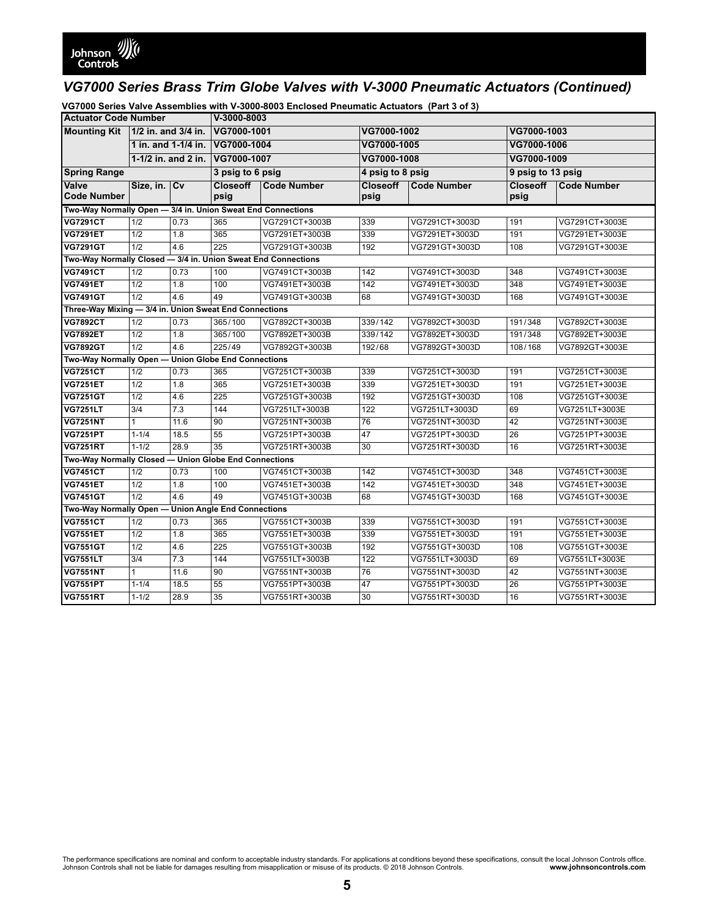**VG7000 Series Valve Assemblies with V-3000-8003 Enclosed Pneumatic Actuators (Part 3 of 3)**

| <b>Actuator Code Number</b>                                   |                                                     | V-3000-8003             |                            |                    |                            |                    |                   |                    |  |
|---------------------------------------------------------------|-----------------------------------------------------|-------------------------|----------------------------|--------------------|----------------------------|--------------------|-------------------|--------------------|--|
| <b>Mounting Kit</b>                                           | 1/2 in. and 3/4 in.<br>1 in. and 1-1/4 in.          |                         | VG7000-1001<br>VG7000-1004 |                    | VG7000-1002<br>VG7000-1005 |                    | VG7000-1003       |                    |  |
|                                                               |                                                     |                         |                            |                    |                            |                    | VG7000-1006       |                    |  |
|                                                               |                                                     | $1-1/2$ in. and $2$ in. |                            | VG7000-1007        |                            | VG7000-1008        |                   | VG7000-1009        |  |
| <b>Spring Range</b>                                           |                                                     |                         | 3 psig to 6 psig           |                    | 4 psig to 8 psig           |                    | 9 psig to 13 psig |                    |  |
| Valve                                                         | Size, in.   Cv                                      |                         | <b>Closeoff</b>            | <b>Code Number</b> | <b>Closeoff</b>            | <b>Code Number</b> | <b>Closeoff</b>   | <b>Code Number</b> |  |
| <b>Code Number</b>                                            |                                                     |                         | psig                       |                    | psig                       |                    | psig              |                    |  |
| Two-Way Normally Open - 3/4 in. Union Sweat End Connections   |                                                     |                         |                            |                    |                            |                    |                   |                    |  |
| <b>VG7291CT</b>                                               | 1/2                                                 | 0.73                    | 365                        | VG7291CT+3003B     | 339                        | VG7291CT+3003D     | 191               | VG7291CT+3003E     |  |
| <b>VG7291ET</b>                                               | 1/2                                                 | 1.8                     | 365                        | VG7291ET+3003B     | 339                        | VG7291ET+3003D     | 191               | VG7291ET+3003E     |  |
| <b>VG7291GT</b>                                               | 1/2                                                 | 4.6                     | 225                        | VG7291GT+3003B     | 192                        | VG7291GT+3003D     | 108               | VG7291GT+3003E     |  |
| Two-Way Normally Closed - 3/4 in. Union Sweat End Connections |                                                     |                         |                            |                    |                            |                    |                   |                    |  |
| <b>VG7491CT</b>                                               | 1/2                                                 | 0.73                    | 100                        | VG7491CT+3003B     | 142                        | VG7491CT+3003D     | 348               | VG7491CT+3003E     |  |
| <b>VG7491ET</b>                                               | 1/2                                                 | 1.8                     | 100                        | VG7491ET+3003B     | 142                        | VG7491ET+3003D     | 348               | VG7491ET+3003E     |  |
| <b>VG7491GT</b>                                               | 1/2                                                 | 4.6                     | 49                         | VG7491GT+3003B     | 68                         | VG7491GT+3003D     | 168               | VG7491GT+3003E     |  |
| Three-Way Mixing - 3/4 in. Union Sweat End Connections        |                                                     |                         |                            |                    |                            |                    |                   |                    |  |
| <b>VG7892CT</b>                                               | 1/2                                                 | 0.73                    | 365/100                    | VG7892CT+3003B     | 339/142                    | VG7892CT+3003D     | 191/348           | VG7892CT+3003E     |  |
| <b>VG7892ET</b>                                               | 1/2                                                 | 1.8                     | 365/100                    | VG7892ET+3003B     | 339/142                    | VG7892ET+3003D     | 191/348           | VG7892ET+3003E     |  |
| <b>VG7892GT</b>                                               | 1/2                                                 | 4.6                     | 225/49                     | VG7892GT+3003B     | 192/68                     | VG7892GT+3003D     | 108/168           | VG7892GT+3003E     |  |
|                                                               | Two-Way Normally Open - Union Globe End Connections |                         |                            |                    |                            |                    |                   |                    |  |
| <b>VG7251CT</b>                                               | 1/2                                                 | 0.73                    | 365                        | VG7251CT+3003B     | 339                        | VG7251CT+3003D     | 191               | VG7251CT+3003E     |  |
| <b>VG7251ET</b>                                               | 1/2                                                 | 1.8                     | 365                        | VG7251ET+3003B     | 339                        | VG7251ET+3003D     | 191               | VG7251ET+3003E     |  |
| <b>VG7251GT</b>                                               | 1/2                                                 | 4.6                     | 225                        | VG7251GT+3003B     | 192                        | VG7251GT+3003D     | 108               | VG7251GT+3003E     |  |
| <b>VG7251LT</b>                                               | $\overline{3/4}$                                    | 7.3                     | 144                        | VG7251LT+3003B     | 122                        | VG7251LT+3003D     | 69                | VG7251LT+3003E     |  |
| <b>VG7251NT</b>                                               | $\mathbf{1}$                                        | 11.6                    | 90                         | VG7251NT+3003B     | 76                         | VG7251NT+3003D     | 42                | VG7251NT+3003E     |  |
| <b>VG7251PT</b>                                               | $1 - 1/4$                                           | 18.5                    | 55                         | VG7251PT+3003B     | 47                         | VG7251PT+3003D     | 26                | VG7251PT+3003E     |  |
| <b>VG7251RT</b>                                               | $1 - 1/2$                                           | 28.9                    | 35                         | VG7251RT+3003B     | 30                         | VG7251RT+3003D     | 16                | VG7251RT+3003E     |  |
| Two-Way Normally Closed - Union Globe End Connections         |                                                     |                         |                            |                    |                            |                    |                   |                    |  |
| <b>VG7451CT</b>                                               | 1/2                                                 | 0.73                    | 100                        | VG7451CT+3003B     | 142                        | VG7451CT+3003D     | 348               | VG7451CT+3003E     |  |
| <b>VG7451ET</b>                                               | 1/2                                                 | 1.8                     | 100                        | VG7451ET+3003B     | 142                        | VG7451ET+3003D     | 348               | VG7451ET+3003E     |  |
| <b>VG7451GT</b>                                               | 1/2                                                 | 4.6                     | 49                         | VG7451GT+3003B     | 68                         | VG7451GT+3003D     | 168               | VG7451GT+3003E     |  |
|                                                               | Two-Way Normally Open - Union Angle End Connections |                         |                            |                    |                            |                    |                   |                    |  |
| <b>VG7551CT</b>                                               | 1/2                                                 | 0.73                    | 365                        | VG7551CT+3003B     | 339                        | VG7551CT+3003D     | 191               | VG7551CT+3003E     |  |
| <b>VG7551ET</b>                                               | 1/2                                                 | 1.8                     | 365                        | VG7551ET+3003B     | 339                        | VG7551ET+3003D     | 191               | VG7551ET+3003E     |  |
| <b>VG7551GT</b>                                               | 1/2                                                 | 4.6                     | 225                        | VG7551GT+3003B     | 192                        | VG7551GT+3003D     | 108               | VG7551GT+3003E     |  |
| <b>VG7551LT</b>                                               | 3/4                                                 | 7.3                     | 144                        | VG7551LT+3003B     | 122                        | VG7551LT+3003D     | 69                | VG7551LT+3003E     |  |
| <b>VG7551NT</b>                                               | $\mathbf{1}$                                        | 11.6                    | 90                         | VG7551NT+3003B     | 76                         | VG7551NT+3003D     | 42                | VG7551NT+3003E     |  |
| <b>VG7551PT</b>                                               | $1 - 1/4$                                           | 18.5                    | 55                         | VG7551PT+3003B     | 47                         | VG7551PT+3003D     | 26                | VG7551PT+3003E     |  |
| <b>VG7551RT</b>                                               | $1 - 1/2$                                           | 28.9                    | 35                         | VG7551RT+3003B     | 30                         | VG7551RT+3003D     | 16                | VG7551RT+3003E     |  |